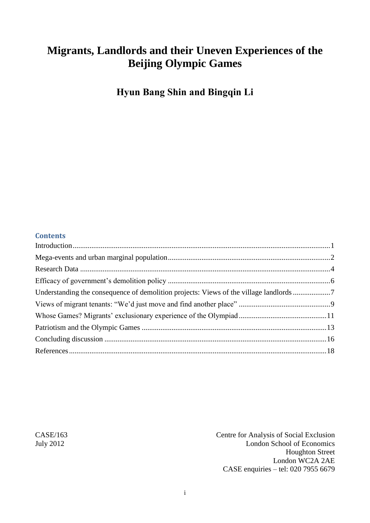# **Migrants, Landlords and their Uneven Experiences of the Beijing Olympic Games**

**Hyun Bang Shin and Bingqin Li**

#### **Contents**

| Understanding the consequence of demolition projects: Views of the village landlords 7 |
|----------------------------------------------------------------------------------------|
|                                                                                        |
|                                                                                        |
|                                                                                        |
|                                                                                        |
|                                                                                        |
|                                                                                        |

CASE/163 Centre for Analysis of Social Exclusion July 2012 London School of Economics Houghton Street London WC2A 2AE CASE enquiries – tel: 020 7955 6679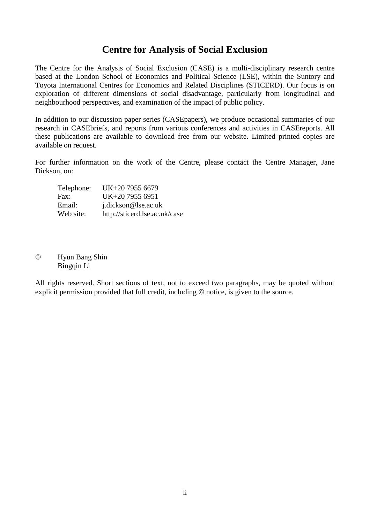# **Centre for Analysis of Social Exclusion**

The Centre for the Analysis of Social Exclusion (CASE) is a multi*-*disciplinary research centre based at the London School of Economics and Political Science (LSE), within the Suntory and Toyota International Centres for Economics and Related Disciplines (STICERD). Our focus is on exploration of different dimensions of social disadvantage, particularly from longitudinal and neighbourhood perspectives, and examination of the impact of public policy.

In addition to our discussion paper series (CASEpapers), we produce occasional summaries of our research in CASEbriefs, and reports from various conferences and activities in CASEreports. All these publications are available to download free from our website. Limited printed copies are available on request.

For further information on the work of the Centre, please contact the Centre Manager, Jane Dickson, on:

| Telephone: | UK+20 7955 6679               |
|------------|-------------------------------|
| Fax:       | UK+20 7955 6951               |
| Email:     | j.dickson@lse.ac.uk           |
| Web site:  | http://sticerd.lse.ac.uk/case |

#### Hyun Bang Shin Bingqin Li

All rights reserved. Short sections of text, not to exceed two paragraphs, may be quoted without explicit permission provided that full credit, including  $\odot$  notice, is given to the source.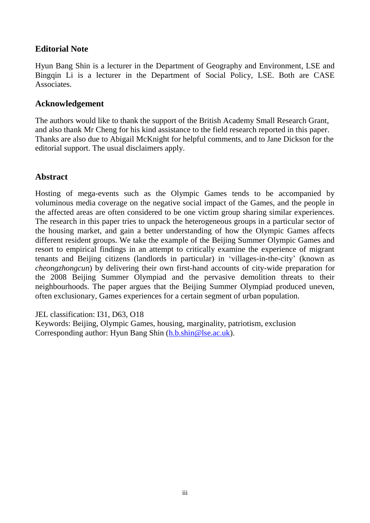## **Editorial Note**

Hyun Bang Shin is a lecturer in the Department of Geography and Environment, LSE and Bingqin Li is a lecturer in the Department of Social Policy, LSE. Both are CASE Associates.

### **Acknowledgement**

The authors would like to thank the support of the British Academy Small Research Grant, and also thank Mr Cheng for his kind assistance to the field research reported in this paper. Thanks are also due to Abigail McKnight for helpful comments, and to Jane Dickson for the editorial support. The usual disclaimers apply.

# **Abstract**

Hosting of mega-events such as the Olympic Games tends to be accompanied by voluminous media coverage on the negative social impact of the Games, and the people in the affected areas are often considered to be one victim group sharing similar experiences. The research in this paper tries to unpack the heterogeneous groups in a particular sector of the housing market, and gain a better understanding of how the Olympic Games affects different resident groups. We take the example of the Beijing Summer Olympic Games and resort to empirical findings in an attempt to critically examine the experience of migrant tenants and Beijing citizens (landlords in particular) in 'villages-in-the-city' (known as *cheongzhongcun*) by delivering their own first-hand accounts of city-wide preparation for the 2008 Beijing Summer Olympiad and the pervasive demolition threats to their neighbourhoods. The paper argues that the Beijing Summer Olympiad produced uneven, often exclusionary, Games experiences for a certain segment of urban population.

JEL classification: I31, D63, O18

Keywords: Beijing, Olympic Games, housing, marginality, patriotism, exclusion Corresponding author: Hyun Bang Shin [\(h.b.shin@lse.ac.uk\)](mailto:h.b.shin@lse.ac.uk).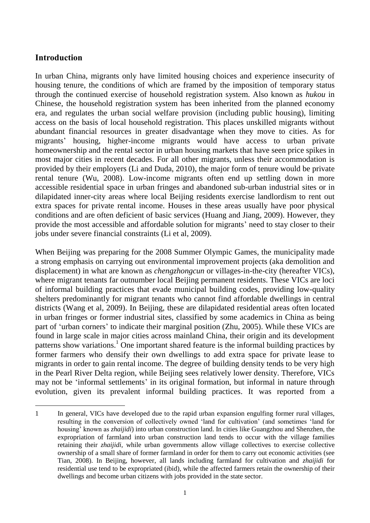### <span id="page-3-0"></span>**Introduction**

In urban China, migrants only have limited housing choices and experience insecurity of housing tenure, the conditions of which are framed by the imposition of temporary status through the continued exercise of household registration system. Also known as *hukou* in Chinese, the household registration system has been inherited from the planned economy era, and regulates the urban social welfare provision (including public housing), limiting access on the basis of local household registration. This places unskilled migrants without abundant financial resources in greater disadvantage when they move to cities. As for migrants' housing, higher-income migrants would have access to urban private homeownership and the rental sector in urban housing markets that have seen price spikes in most major cities in recent decades. For all other migrants, unless their accommodation is provided by their employers (Li and Duda, 2010), the major form of tenure would be private rental tenure (Wu, 2008). Low-income migrants often end up settling down in more accessible residential space in urban fringes and abandoned sub-urban industrial sites or in dilapidated inner-city areas where local Beijing residents exercise landlordism to rent out extra spaces for private rental income. Houses in these areas usually have poor physical conditions and are often deficient of basic services (Huang and Jiang, 2009). However, they provide the most accessible and affordable solution for migrants' need to stay closer to their jobs under severe financial constraints (Li et al, 2009).

When Beijing was preparing for the 2008 Summer Olympic Games, the municipality made a strong emphasis on carrying out environmental improvement projects (aka demolition and displacement) in what are known as *chengzhongcun* or villages-in-the-city (hereafter VICs), where migrant tenants far outnumber local Beijing permanent residents. These VICs are loci of informal building practices that evade municipal building codes, providing low-quality shelters predominantly for migrant tenants who cannot find affordable dwellings in central districts (Wang et al, 2009). In Beijing, these are dilapidated residential areas often located in urban fringes or former industrial sites, classified by some academics in China as being part of 'urban corners' to indicate their marginal position (Zhu, 2005). While these VICs are found in large scale in major cities across mainland China, their origin and its development patterns show variations.<sup>1</sup> One important shared feature is the informal building practices by former farmers who densify their own dwellings to add extra space for private lease to migrants in order to gain rental income. The degree of building density tends to be very high in the Pearl River Delta region, while Beijing sees relatively lower density. Therefore, VICs may not be 'informal settlements' in its original formation, but informal in nature through evolution, given its prevalent informal building practices. It was reported from a

 1 In general, VICs have developed due to the rapid urban expansion engulfing former rural villages, resulting in the conversion of collectively owned 'land for cultivation' (and sometimes 'land for housing' known as *zhaijidi*) into urban construction land. In cities like Guangzhou and Shenzhen, the expropriation of farmland into urban construction land tends to occur with the village families retaining their *zhaijidi*, while urban governments allow village collectives to exercise collective ownership of a small share of former farmland in order for them to carry out economic activities (see Tian, 2008). In Beijing, however, all lands including farmland for cultivation and *zhaijidi* for residential use tend to be expropriated (ibid), while the affected farmers retain the ownership of their dwellings and become urban citizens with jobs provided in the state sector.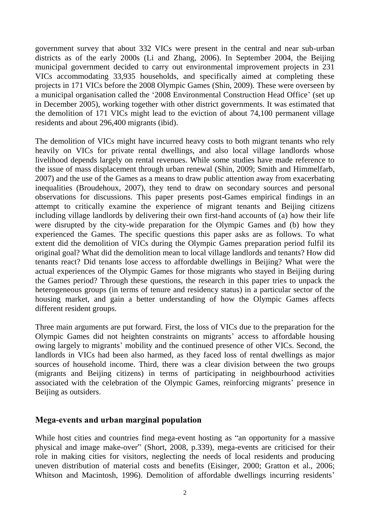government survey that about 332 VICs were present in the central and near sub-urban districts as of the early 2000s (Li and Zhang, 2006). In September 2004, the Beijing municipal government decided to carry out environmental improvement projects in 231 VICs accommodating 33,935 households, and specifically aimed at completing these projects in 171 VICs before the 2008 Olympic Games (Shin, 2009). These were overseen by a municipal organisation called the '2008 Environmental Construction Head Office' (set up in December 2005), working together with other district governments. It was estimated that the demolition of 171 VICs might lead to the eviction of about 74,100 permanent village residents and about 296,400 migrants (ibid).

The demolition of VICs might have incurred heavy costs to both migrant tenants who rely heavily on VICs for private rental dwellings, and also local village landlords whose livelihood depends largely on rental revenues. While some studies have made reference to the issue of mass displacement through urban renewal (Shin, 2009; Smith and Himmelfarb, 2007) and the use of the Games as a means to draw public attention away from exacerbating inequalities (Broudehoux, 2007), they tend to draw on secondary sources and personal observations for discussions. This paper presents post-Games empirical findings in an attempt to critically examine the experience of migrant tenants and Beijing citizens including village landlords by delivering their own first-hand accounts of (a) how their life were disrupted by the city-wide preparation for the Olympic Games and (b) how they experienced the Games. The specific questions this paper asks are as follows. To what extent did the demolition of VICs during the Olympic Games preparation period fulfil its original goal? What did the demolition mean to local village landlords and tenants? How did tenants react? Did tenants lose access to affordable dwellings in Beijing? What were the actual experiences of the Olympic Games for those migrants who stayed in Beijing during the Games period? Through these questions, the research in this paper tries to unpack the heterogeneous groups (in terms of tenure and residency status) in a particular sector of the housing market, and gain a better understanding of how the Olympic Games affects different resident groups.

Three main arguments are put forward. First, the loss of VICs due to the preparation for the Olympic Games did not heighten constraints on migrants' access to affordable housing owing largely to migrants' mobility and the continued presence of other VICs. Second, the landlords in VICs had been also harmed, as they faced loss of rental dwellings as major sources of household income. Third, there was a clear division between the two groups (migrants and Beijing citizens) in terms of participating in neighbourhood activities associated with the celebration of the Olympic Games, reinforcing migrants' presence in Beijing as outsiders.

### <span id="page-4-0"></span>**Mega-events and urban marginal population**

While host cities and countries find mega-event hosting as "an opportunity for a massive physical and image make-over" (Short, 2008, p.339), mega-events are criticised for their role in making cities for visitors, neglecting the needs of local residents and producing uneven distribution of material costs and benefits (Eisinger, 2000; Gratton et al., 2006; Whitson and Macintosh, 1996). Demolition of affordable dwellings incurring residents'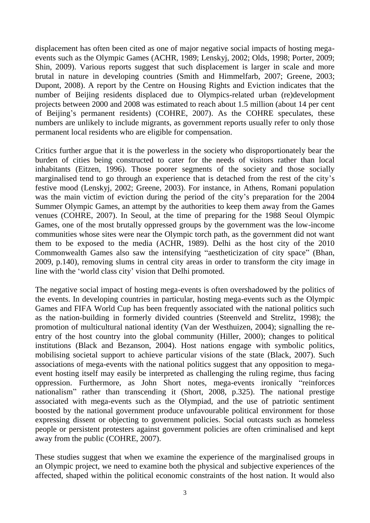displacement has often been cited as one of major negative social impacts of hosting megaevents such as the Olympic Games (ACHR, 1989; Lenskyj, 2002; Olds, 1998; Porter, 2009; Shin, 2009). Various reports suggest that such displacement is larger in scale and more brutal in nature in developing countries (Smith and Himmelfarb, 2007; Greene, 2003; Dupont, 2008). A report by the Centre on Housing Rights and Eviction indicates that the number of Beijing residents displaced due to Olympics-related urban (re)development projects between 2000 and 2008 was estimated to reach about 1.5 million (about 14 per cent of Beijing's permanent residents) (COHRE, 2007). As the COHRE speculates, these numbers are unlikely to include migrants, as government reports usually refer to only those permanent local residents who are eligible for compensation.

Critics further argue that it is the powerless in the society who disproportionately bear the burden of cities being constructed to cater for the needs of visitors rather than local inhabitants (Eitzen, 1996). Those poorer segments of the society and those socially marginalised tend to go through an experience that is detached from the rest of the city's festive mood (Lenskyj, 2002; Greene, 2003). For instance, in Athens, Romani population was the main victim of eviction during the period of the city's preparation for the 2004 Summer Olympic Games, an attempt by the authorities to keep them away from the Games venues (COHRE, 2007). In Seoul, at the time of preparing for the 1988 Seoul Olympic Games, one of the most brutally oppressed groups by the government was the low-income communities whose sites were near the Olympic torch path, as the government did not want them to be exposed to the media (ACHR, 1989). Delhi as the host city of the 2010 Commonwealth Games also saw the intensifying "aestheticization of city space" (Bhan, 2009, p.140), removing slums in central city areas in order to transform the city image in line with the 'world class city' vision that Delhi promoted.

The negative social impact of hosting mega-events is often overshadowed by the politics of the events. In developing countries in particular, hosting mega-events such as the Olympic Games and FIFA World Cup has been frequently associated with the national politics such as the nation-building in formerly divided countries (Steenveld and Strelitz, 1998); the promotion of multicultural national identity (Van der Westhuizen, 2004); signalling the reentry of the host country into the global community (Hiller, 2000); changes to political institutions (Black and Bezanson, 2004). Host nations engage with symbolic politics, mobilising societal support to achieve particular visions of the state (Black, 2007). Such associations of mega-events with the national politics suggest that any opposition to megaevent hosting itself may easily be interpreted as challenging the ruling regime, thus facing oppression. Furthermore, as John Short notes, mega-events ironically "reinforces nationalism" rather than transcending it (Short, 2008, p.325). The national prestige associated with mega-events such as the Olympiad, and the use of patriotic sentiment boosted by the national government produce unfavourable political environment for those expressing dissent or objecting to government policies. Social outcasts such as homeless people or persistent protesters against government policies are often criminalised and kept away from the public (COHRE, 2007).

These studies suggest that when we examine the experience of the marginalised groups in an Olympic project, we need to examine both the physical and subjective experiences of the affected, shaped within the political economic constraints of the host nation. It would also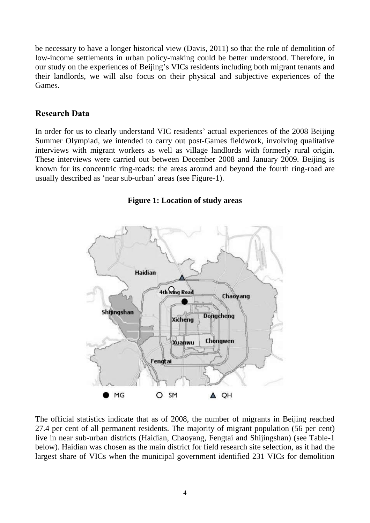be necessary to have a longer historical view (Davis, 2011) so that the role of demolition of low-income settlements in urban policy-making could be better understood. Therefore, in our study on the experiences of Beijing's VICs residents including both migrant tenants and their landlords, we will also focus on their physical and subjective experiences of the Games.

#### <span id="page-6-0"></span>**Research Data**

In order for us to clearly understand VIC residents' actual experiences of the 2008 Beijing Summer Olympiad, we intended to carry out post-Games fieldwork, involving qualitative interviews with migrant workers as well as village landlords with formerly rural origin. These interviews were carried out between December 2008 and January 2009. Beijing is known for its concentric ring-roads: the areas around and beyond the fourth ring-road are usually described as 'near sub-urban' areas (see Figure-1).





The official statistics indicate that as of 2008, the number of migrants in Beijing reached 27.4 per cent of all permanent residents. The majority of migrant population (56 per cent) live in near sub-urban districts (Haidian, Chaoyang, Fengtai and Shijingshan) (see Table-1 below). Haidian was chosen as the main district for field research site selection, as it had the largest share of VICs when the municipal government identified 231 VICs for demolition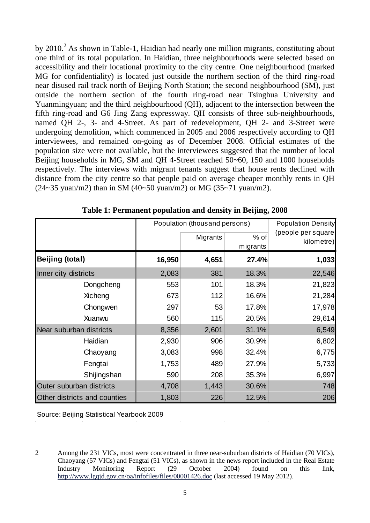by 2010.<sup>2</sup> As shown in Table-1, Haidian had nearly one million migrants, constituting about one third of its total population. In Haidian, three neighbourhoods were selected based on accessibility and their locational proximity to the city centre. One neighbourhood (marked MG for confidentiality) is located just outside the northern section of the third ring-road near disused rail track north of Beijing North Station; the second neighbourhood (SM), just outside the northern section of the fourth ring-road near Tsinghua University and Yuanmingyuan; and the third neighbourhood (QH), adjacent to the intersection between the fifth ring-road and G6 Jing Zang expressway. QH consists of three sub-neighbourhoods, named QH 2-, 3- and 4-Street. As part of redevelopment, QH 2- and 3-Street were undergoing demolition, which commenced in 2005 and 2006 respectively according to QH interviewees, and remained on-going as of December 2008. Official estimates of the population size were not available, but the interviewees suggested that the number of local Beijing households in MG, SM and QH 4-Street reached 50~60, 150 and 1000 households respectively. The interviews with migrant tenants suggest that house rents declined with distance from the city centre so that people paid on average cheaper monthly rents in QH (24~35 yuan/m2) than in SM (40~50 yuan/m2) or MG (35~71 yuan/m2).

|                              | Population (thousand persons) | <b>Population Density</b> |                  |                                  |
|------------------------------|-------------------------------|---------------------------|------------------|----------------------------------|
|                              |                               | Migrants                  | % of<br>migrants | (people per square<br>kilometre) |
| <b>Beijing (total)</b>       | 16,950                        | 4,651                     | 27.4%            | 1,033                            |
| Inner city districts         | 2,083                         | 381                       | 18.3%            | 22,546                           |
| Dongcheng                    | 553                           | 101                       | 18.3%            | 21,823                           |
| Xicheng                      | 673                           | 112                       | 16.6%            | 21,284                           |
| Chongwen                     | 297                           | 53                        | 17.8%            | 17,978                           |
| Xuanwu                       | 560                           | 115                       | 20.5%            | 29,614                           |
| Near suburban districts      | 8,356                         | 2,601                     | 31.1%            | 6,549                            |
| Haidian                      | 2,930                         | 906                       | 30.9%            | 6,802                            |
| Chaoyang                     | 3,083                         | 998                       | 32.4%            | 6,775                            |
| Fengtai                      | 1,753                         | 489                       | 27.9%            | 5,733                            |
| Shijingshan                  | 590                           | 208                       | 35.3%            | 6,997                            |
| Outer suburban districts     | 4,708                         | 1,443                     | 30.6%            | 748                              |
| Other districts and counties | 1,803                         | 226                       | 12.5%            | 206                              |

**Table 1: Permanent population and density in Beijing, 2008**

Source: Beijing Statistical Yearbook 2009

 $\overline{a}$ 

<sup>2</sup> Among the 231 VICs, most were concentrated in three near-suburban districts of Haidian (70 VICs), Chaoyang (57 VICs) and Fengtai (51 VICs), as shown in the news report included in the Real Estate Industry Monitoring Report (29 October 2004) found on this link, <http://www.lgqjd.gov.cn/oa/infofiles/files/00001426.doc> (last accessed 19 May 2012).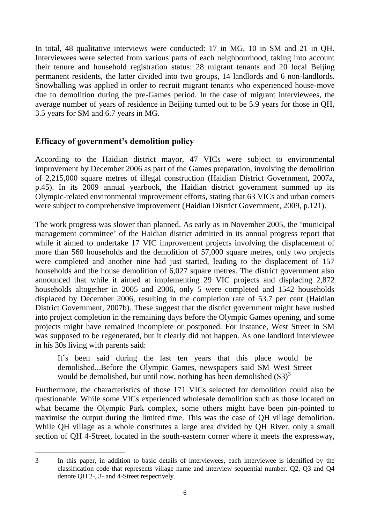In total, 48 qualitative interviews were conducted: 17 in MG, 10 in SM and 21 in QH. Interviewees were selected from various parts of each neighbourhood, taking into account their tenure and household registration status: 28 migrant tenants and 20 local Beijing permanent residents, the latter divided into two groups, 14 landlords and 6 non-landlords. Snowballing was applied in order to recruit migrant tenants who experienced house-move due to demolition during the pre-Games period. In the case of migrant interviewees, the average number of years of residence in Beijing turned out to be 5.9 years for those in QH, 3.5 years for SM and 6.7 years in MG.

# <span id="page-8-0"></span>**Efficacy of government's demolition policy**

According to the Haidian district mayor, 47 VICs were subject to environmental improvement by December 2006 as part of the Games preparation, involving the demolition of 2,215,000 square metres of illegal construction (Haidian District Government, 2007a, p.45). In its 2009 annual yearbook, the Haidian district government summed up its Olympic-related environmental improvement efforts, stating that 63 VICs and urban corners were subject to comprehensive improvement (Haidian District Government, 2009, p.121).

The work progress was slower than planned. As early as in November 2005, the 'municipal management committee' of the Haidian district admitted in its annual progress report that while it aimed to undertake 17 VIC improvement projects involving the displacement of more than 560 households and the demolition of 57,000 square metres, only two projects were completed and another nine had just started, leading to the displacement of 157 households and the house demolition of 6,027 square metres. The district government also announced that while it aimed at implementing 29 VIC projects and displacing 2,872 households altogether in 2005 and 2006, only 5 were completed and 1542 households displaced by December 2006, resulting in the completion rate of 53.7 per cent (Haidian District Government, 2007b). These suggest that the district government might have rushed into project completion in the remaining days before the Olympic Games opening, and some projects might have remained incomplete or postponed. For instance, West Street in SM was supposed to be regenerated, but it clearly did not happen. As one landlord interviewee in his 30s living with parents said:

It's been said during the last ten years that this place would be demolished...Before the Olympic Games, newspapers said SM West Street would be demolished, but until now, nothing has been demolished  $(S3)^3$ 

Furthermore, the characteristics of those 171 VICs selected for demolition could also be questionable. While some VICs experienced wholesale demolition such as those located on what became the Olympic Park complex, some others might have been pin-pointed to maximise the output during the limited time. This was the case of QH village demolition. While QH village as a whole constitutes a large area divided by QH River, only a small section of QH 4-Street, located in the south-eastern corner where it meets the expressway,

 3 In this paper, in addition to basic details of interviewees, each interviewee is identified by the classification code that represents village name and interview sequential number. Q2, Q3 and Q4 denote QH 2-, 3- and 4-Street respectively.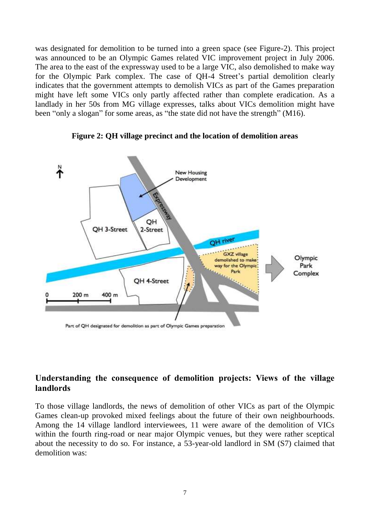was designated for demolition to be turned into a green space (see Figure-2). This project was announced to be an Olympic Games related VIC improvement project in July 2006. The area to the east of the expressway used to be a large VIC, also demolished to make way for the Olympic Park complex. The case of QH-4 Street's partial demolition clearly indicates that the government attempts to demolish VICs as part of the Games preparation might have left some VICs only partly affected rather than complete eradication. As a landlady in her 50s from MG village expresses, talks about VICs demolition might have been "only a slogan" for some areas, as "the state did not have the strength" (M16).



**Figure 2: QH village precinct and the location of demolition areas**

### <span id="page-9-0"></span>**Understanding the consequence of demolition projects: Views of the village landlords**

To those village landlords, the news of demolition of other VICs as part of the Olympic Games clean-up provoked mixed feelings about the future of their own neighbourhoods. Among the 14 village landlord interviewees, 11 were aware of the demolition of VICs within the fourth ring-road or near major Olympic venues, but they were rather sceptical about the necessity to do so. For instance, a 53-year-old landlord in SM (S7) claimed that demolition was: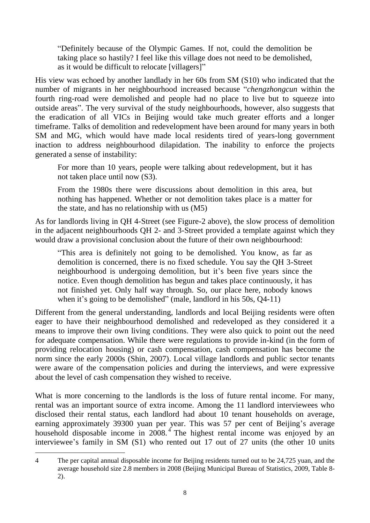"Definitely because of the Olympic Games. If not, could the demolition be taking place so hastily? I feel like this village does not need to be demolished, as it would be difficult to relocate [villagers]"

His view was echoed by another landlady in her 60s from SM (S10) who indicated that the number of migrants in her neighbourhood increased because "*chengzhongcun* within the fourth ring-road were demolished and people had no place to live but to squeeze into outside areas". The very survival of the study neighbourhoods, however, also suggests that the eradication of all VICs in Beijing would take much greater efforts and a longer timeframe. Talks of demolition and redevelopment have been around for many years in both SM and MG, which would have made local residents tired of years-long government inaction to address neighbourhood dilapidation. The inability to enforce the projects generated a sense of instability:

For more than 10 years, people were talking about redevelopment, but it has not taken place until now (S3).

From the 1980s there were discussions about demolition in this area, but nothing has happened. Whether or not demolition takes place is a matter for the state, and has no relationship with us (M5)

As for landlords living in QH 4-Street (see Figure-2 above), the slow process of demolition in the adjacent neighbourhoods QH 2- and 3-Street provided a template against which they would draw a provisional conclusion about the future of their own neighbourhood:

"This area is definitely not going to be demolished. You know, as far as demolition is concerned, there is no fixed schedule. You say the QH 3-Street neighbourhood is undergoing demolition, but it's been five years since the notice. Even though demolition has begun and takes place continuously, it has not finished yet. Only half way through. So, our place here, nobody knows when it's going to be demolished" (male, landlord in his 50s, Q4-11)

Different from the general understanding, landlords and local Beijing residents were often eager to have their neighbourhood demolished and redeveloped as they considered it a means to improve their own living conditions. They were also quick to point out the need for adequate compensation. While there were regulations to provide in-kind (in the form of providing relocation housing) or cash compensation, cash compensation has become the norm since the early 2000s (Shin, 2007). Local village landlords and public sector tenants were aware of the compensation policies and during the interviews, and were expressive about the level of cash compensation they wished to receive.

What is more concerning to the landlords is the loss of future rental income. For many, rental was an important source of extra income. Among the 11 landlord interviewees who disclosed their rental status, each landlord had about 10 tenant households on average, earning approximately 39300 yuan per year. This was 57 per cent of Beijing's average household disposable income in 2008.<sup>4</sup> The highest rental income was enjoyed by an interviewee's family in SM (S1) who rented out 17 out of 27 units (the other 10 units

 4 The per capital annual disposable income for Beijing residents turned out to be 24,725 yuan, and the average household size 2.8 members in 2008 (Beijing Municipal Bureau of Statistics, 2009, Table 8- 2).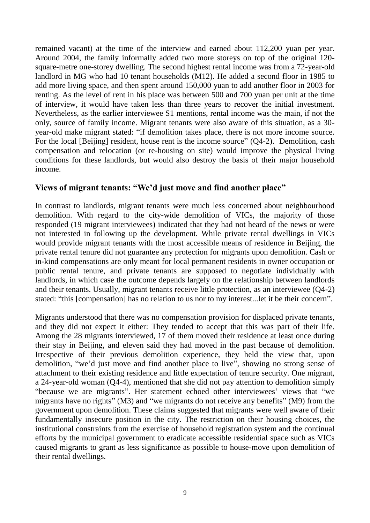remained vacant) at the time of the interview and earned about 112,200 yuan per year. Around 2004, the family informally added two more storeys on top of the original 120 square-metre one-storey dwelling. The second highest rental income was from a 72-year-old landlord in MG who had 10 tenant households (M12). He added a second floor in 1985 to add more living space, and then spent around 150,000 yuan to add another floor in 2003 for renting. As the level of rent in his place was between 500 and 700 yuan per unit at the time of interview, it would have taken less than three years to recover the initial investment. Nevertheless, as the earlier interviewee S1 mentions, rental income was the main, if not the only, source of family income. Migrant tenants were also aware of this situation, as a 30 year-old make migrant stated: "if demolition takes place, there is not more income source. For the local [Beijing] resident, house rent is the income source" (Q4-2). Demolition, cash compensation and relocation (or re-housing on site) would improve the physical living conditions for these landlords, but would also destroy the basis of their major household income.

### <span id="page-11-0"></span>**Views of migrant tenants: "We'd just move and find another place"**

In contrast to landlords, migrant tenants were much less concerned about neighbourhood demolition. With regard to the city-wide demolition of VICs, the majority of those responded (19 migrant interviewees) indicated that they had not heard of the news or were not interested in following up the development. While private rental dwellings in VICs would provide migrant tenants with the most accessible means of residence in Beijing, the private rental tenure did not guarantee any protection for migrants upon demolition. Cash or in-kind compensations are only meant for local permanent residents in owner occupation or public rental tenure, and private tenants are supposed to negotiate individually with landlords, in which case the outcome depends largely on the relationship between landlords and their tenants. Usually, migrant tenants receive little protection, as an interviewee (Q4-2) stated: "this [compensation] has no relation to us nor to my interest...let it be their concern".

Migrants understood that there was no compensation provision for displaced private tenants, and they did not expect it either: They tended to accept that this was part of their life. Among the 28 migrants interviewed, 17 of them moved their residence at least once during their stay in Beijing, and eleven said they had moved in the past because of demolition. Irrespective of their previous demolition experience, they held the view that, upon demolition, "we'd just move and find another place to live", showing no strong sense of attachment to their existing residence and little expectation of tenure security. One migrant, a 24-year-old woman (Q4-4), mentioned that she did not pay attention to demolition simply "because we are migrants". Her statement echoed other interviewees' views that "we migrants have no rights" (M3) and "we migrants do not receive any benefits" (M9) from the government upon demolition. These claims suggested that migrants were well aware of their fundamentally insecure position in the city. The restriction on their housing choices, the institutional constraints from the exercise of household registration system and the continual efforts by the municipal government to eradicate accessible residential space such as VICs caused migrants to grant as less significance as possible to house-move upon demolition of their rental dwellings.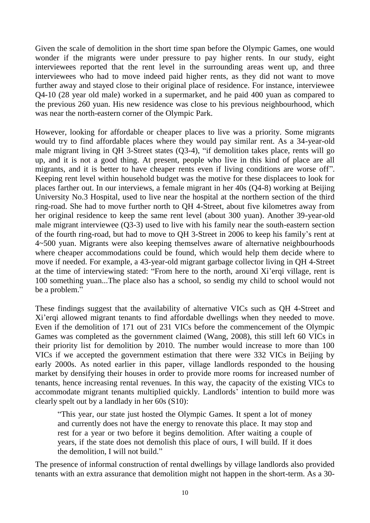Given the scale of demolition in the short time span before the Olympic Games, one would wonder if the migrants were under pressure to pay higher rents. In our study, eight interviewees reported that the rent level in the surrounding areas went up, and three interviewees who had to move indeed paid higher rents, as they did not want to move further away and stayed close to their original place of residence. For instance, interviewee Q4-10 (28 year old male) worked in a supermarket, and he paid 400 yuan as compared to the previous 260 yuan. His new residence was close to his previous neighbourhood, which was near the north-eastern corner of the Olympic Park.

However, looking for affordable or cheaper places to live was a priority. Some migrants would try to find affordable places where they would pay similar rent. As a 34-year-old male migrant living in QH 3-Street states (Q3-4), "if demolition takes place, rents will go up, and it is not a good thing. At present, people who live in this kind of place are all migrants, and it is better to have cheaper rents even if living conditions are worse off". Keeping rent level within household budget was the motive for these displacees to look for places farther out. In our interviews, a female migrant in her 40s (Q4-8) working at Beijing University No.3 Hospital, used to live near the hospital at the northern section of the third ring-road. She had to move further north to QH 4-Street, about five kilometres away from her original residence to keep the same rent level (about 300 yuan). Another 39-year-old male migrant interviewee (Q3-3) used to live with his family near the south-eastern section of the fourth ring-road, but had to move to QH 3-Street in 2006 to keep his family's rent at 4~500 yuan. Migrants were also keeping themselves aware of alternative neighbourhoods where cheaper accommodations could be found, which would help them decide where to move if needed. For example, a 43-year-old migrant garbage collector living in QH 4-Street at the time of interviewing stated: "From here to the north, around Xi'erqi village, rent is 100 something yuan...The place also has a school, so sendig my child to school would not be a problem."

These findings suggest that the availability of alternative VICs such as QH 4-Street and Xi'erqi allowed migrant tenants to find affordable dwellings when they needed to move. Even if the demolition of 171 out of 231 VICs before the commencement of the Olympic Games was completed as the government claimed (Wang, 2008), this still left 60 VICs in their priority list for demolition by 2010. The number would increase to more than 100 VICs if we accepted the government estimation that there were 332 VICs in Beijing by early 2000s. As noted earlier in this paper, village landlords responded to the housing market by densifying their houses in order to provide more rooms for increased number of tenants, hence increasing rental revenues. In this way, the capacity of the existing VICs to accommodate migrant tenants multiplied quickly. Landlords' intention to build more was clearly spelt out by a landlady in her 60s (S10):

"This year, our state just hosted the Olympic Games. It spent a lot of money and currently does not have the energy to renovate this place. It may stop and rest for a year or two before it begins demolition. After waiting a couple of years, if the state does not demolish this place of ours, I will build. If it does the demolition, I will not build."

The presence of informal construction of rental dwellings by village landlords also provided tenants with an extra assurance that demolition might not happen in the short-term. As a 30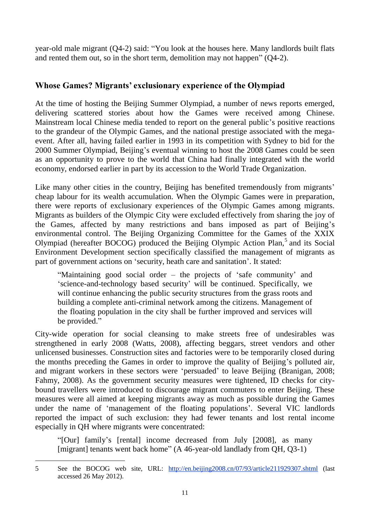year-old male migrant (Q4-2) said: "You look at the houses here. Many landlords built flats and rented them out, so in the short term, demolition may not happen" (Q4-2).

# <span id="page-13-0"></span>**Whose Games? Migrants' exclusionary experience of the Olympiad**

At the time of hosting the Beijing Summer Olympiad, a number of news reports emerged, delivering scattered stories about how the Games were received among Chinese. Mainstream local Chinese media tended to report on the general public's positive reactions to the grandeur of the Olympic Games, and the national prestige associated with the megaevent. After all, having failed earlier in 1993 in its competition with Sydney to bid for the 2000 Summer Olympiad, Beijing's eventual winning to host the 2008 Games could be seen as an opportunity to prove to the world that China had finally integrated with the world economy, endorsed earlier in part by its accession to the World Trade Organization.

Like many other cities in the country, Beijing has benefited tremendously from migrants' cheap labour for its wealth accumulation. When the Olympic Games were in preparation, there were reports of exclusionary experiences of the Olympic Games among migrants. Migrants as builders of the Olympic City were excluded effectively from sharing the joy of the Games, affected by many restrictions and bans imposed as part of Beijing's environmental control. The Beijing Organizing Committee for the Games of the XXIX Olympiad (hereafter BOCOG) produced the Beijing Olympic Action Plan,<sup>5</sup> and its Social Environment Development section specifically classified the management of migrants as part of government actions on 'security, heath care and sanitation'. It stated:

"Maintaining good social order – the projects of 'safe community' and 'science-and-technology based security' will be continued. Specifically, we will continue enhancing the public security structures from the grass roots and building a complete anti-criminal network among the citizens. Management of the floating population in the city shall be further improved and services will be provided."

City-wide operation for social cleansing to make streets free of undesirables was strengthened in early 2008 (Watts, 2008), affecting beggars, street vendors and other unlicensed businesses. Construction sites and factories were to be temporarily closed during the months preceding the Games in order to improve the quality of Beijing's polluted air, and migrant workers in these sectors were 'persuaded' to leave Beijing (Branigan, 2008; Fahmy, 2008). As the government security measures were tightened, ID checks for citybound travellers were introduced to discourage migrant commuters to enter Beijing. These measures were all aimed at keeping migrants away as much as possible during the Games under the name of 'management of the floating populations'. Several VIC landlords reported the impact of such exclusion: they had fewer tenants and lost rental income especially in QH where migrants were concentrated:

"[Our] family's [rental] income decreased from July [2008], as many [migrant] tenants went back home" (A 46-year-old landlady from QH, Q3-1)

 5 See the BOCOG web site, URL: <http://en.beijing2008.cn/07/93/article211929307.shtml> (last accessed 26 May 2012).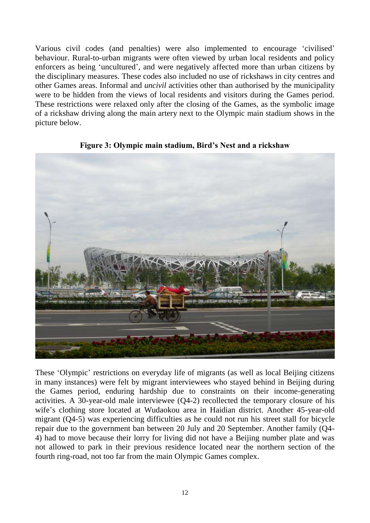Various civil codes (and penalties) were also implemented to encourage 'civilised' behaviour. Rural-to-urban migrants were often viewed by urban local residents and policy enforcers as being 'uncultured', and were negatively affected more than urban citizens by the disciplinary measures. These codes also included no use of rickshaws in city centres and other Games areas. Informal and *uncivil* activities other than authorised by the municipality were to be hidden from the views of local residents and visitors during the Games period. These restrictions were relaxed only after the closing of the Games, as the symbolic image of a rickshaw driving along the main artery next to the Olympic main stadium shows in the picture below.



#### **Figure 3: Olympic main stadium, Bird's Nest and a rickshaw**

These 'Olympic' restrictions on everyday life of migrants (as well as local Beijing citizens in many instances) were felt by migrant interviewees who stayed behind in Beijing during the Games period, enduring hardship due to constraints on their income-generating activities. A 30-year-old male interviewee (Q4-2) recollected the temporary closure of his wife's clothing store located at Wudaokou area in Haidian district. Another 45-year-old migrant (Q4-5) was experiencing difficulties as he could not run his street stall for bicycle repair due to the government ban between 20 July and 20 September. Another family (Q4- 4) had to move because their lorry for living did not have a Beijing number plate and was not allowed to park in their previous residence located near the northern section of the fourth ring-road, not too far from the main Olympic Games complex.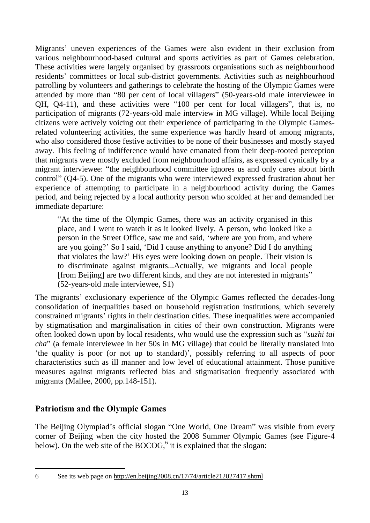Migrants' uneven experiences of the Games were also evident in their exclusion from various neighbourhood-based cultural and sports activities as part of Games celebration. These activities were largely organised by grassroots organisations such as neighbourhood residents' committees or local sub-district governments. Activities such as neighbourhood patrolling by volunteers and gatherings to celebrate the hosting of the Olympic Games were attended by more than "80 per cent of local villagers" (50-years-old male interviewee in QH, Q4-11), and these activities were "100 per cent for local villagers", that is, no participation of migrants (72-years-old male interview in MG village). While local Beijing citizens were actively voicing out their experience of participating in the Olympic Gamesrelated volunteering activities, the same experience was hardly heard of among migrants, who also considered those festive activities to be none of their businesses and mostly stayed away. This feeling of indifference would have emanated from their deep-rooted perception that migrants were mostly excluded from neighbourhood affairs, as expressed cynically by a migrant interviewee: "the neighbourhood committee ignores us and only cares about birth control" (Q4-5). One of the migrants who were interviewed expressed frustration about her experience of attempting to participate in a neighbourhood activity during the Games period, and being rejected by a local authority person who scolded at her and demanded her immediate departure:

"At the time of the Olympic Games, there was an activity organised in this place, and I went to watch it as it looked lively. A person, who looked like a person in the Street Office, saw me and said, 'where are you from, and where are you going?' So I said, 'Did I cause anything to anyone? Did I do anything that violates the law?' His eyes were looking down on people. Their vision is to discriminate against migrants...Actually, we migrants and local people [from Beijing] are two different kinds, and they are not interested in migrants" (52-years-old male interviewee, S1)

The migrants' exclusionary experience of the Olympic Games reflected the decades-long consolidation of inequalities based on household registration institutions, which severely constrained migrants' rights in their destination cities. These inequalities were accompanied by stigmatisation and marginalisation in cities of their own construction. Migrants were often looked down upon by local residents, who would use the expression such as "*suzhi tai cha*" (a female interviewee in her 50s in MG village) that could be literally translated into 'the quality is poor (or not up to standard)', possibly referring to all aspects of poor characteristics such as ill manner and low level of educational attainment. Those punitive measures against migrants reflected bias and stigmatisation frequently associated with migrants (Mallee, 2000, pp.148-151).

## <span id="page-15-0"></span>**Patriotism and the Olympic Games**

The Beijing Olympiad's official slogan "One World, One Dream" was visible from every corner of Beijing when the city hosted the 2008 Summer Olympic Games (see Figure-4 below). On the web site of the BOCOG,<sup>6</sup> it is explained that the slogan:

 $\overline{a}$ 

<sup>6</sup> See its web page on<http://en.beijing2008.cn/17/74/article212027417.shtml>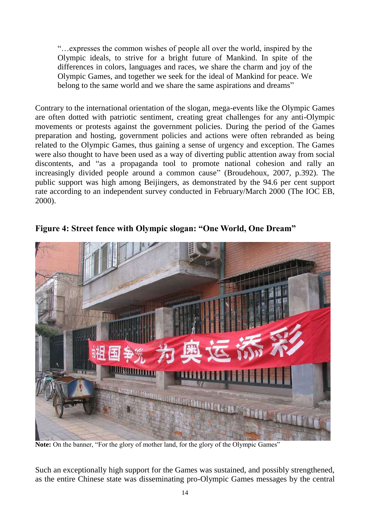"…expresses the common wishes of people all over the world, inspired by the Olympic ideals, to strive for a bright future of Mankind. In spite of the differences in colors, languages and races, we share the charm and joy of the Olympic Games, and together we seek for the ideal of Mankind for peace. We belong to the same world and we share the same aspirations and dreams"

Contrary to the international orientation of the slogan, mega-events like the Olympic Games are often dotted with patriotic sentiment, creating great challenges for any anti-Olympic movements or protests against the government policies. During the period of the Games preparation and hosting, government policies and actions were often rebranded as being related to the Olympic Games, thus gaining a sense of urgency and exception. The Games were also thought to have been used as a way of diverting public attention away from social discontents, and "as a propaganda tool to promote national cohesion and rally an increasingly divided people around a common cause" (Broudehoux, 2007, p.392). The public support was high among Beijingers, as demonstrated by the 94.6 per cent support rate according to an independent survey conducted in February/March 2000 (The IOC EB, 2000).



**Figure 4: Street fence with Olympic slogan: "One World, One Dream"**

**Note:** On the banner, "For the glory of mother land, for the glory of the Olympic Games"

Such an exceptionally high support for the Games was sustained, and possibly strengthened, as the entire Chinese state was disseminating pro-Olympic Games messages by the central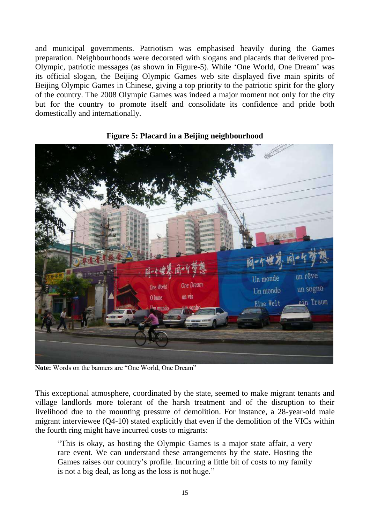and municipal governments. Patriotism was emphasised heavily during the Games preparation. Neighbourhoods were decorated with slogans and placards that delivered pro-Olympic, patriotic messages (as shown in Figure-5). While 'One World, One Dream' was its official slogan, the Beijing Olympic Games web site displayed five main spirits of Beijing Olympic Games in Chinese, giving a top priority to the patriotic spirit for the glory of the country. The 2008 Olympic Games was indeed a major moment not only for the city but for the country to promote itself and consolidate its confidence and pride both domestically and internationally.



#### **Figure 5: Placard in a Beijing neighbourhood**

**Note:** Words on the banners are "One World, One Dream"

This exceptional atmosphere, coordinated by the state, seemed to make migrant tenants and village landlords more tolerant of the harsh treatment and of the disruption to their livelihood due to the mounting pressure of demolition. For instance, a 28-year-old male migrant interviewee (Q4-10) stated explicitly that even if the demolition of the VICs within the fourth ring might have incurred costs to migrants:

"This is okay, as hosting the Olympic Games is a major state affair, a very rare event. We can understand these arrangements by the state. Hosting the Games raises our country's profile. Incurring a little bit of costs to my family is not a big deal, as long as the loss is not huge."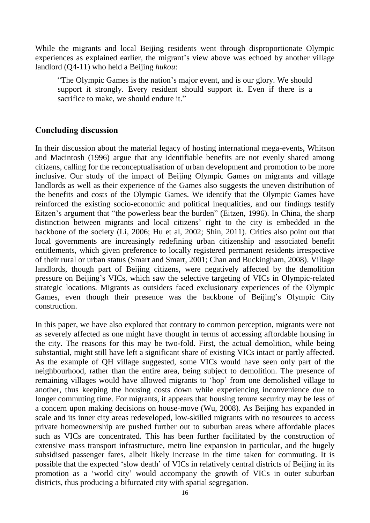While the migrants and local Beijing residents went through disproportionate Olympic experiences as explained earlier, the migrant's view above was echoed by another village landlord (Q4-11) who held a Beijing *hukou*:

"The Olympic Games is the nation's major event, and is our glory. We should support it strongly. Every resident should support it. Even if there is a sacrifice to make, we should endure it."

## <span id="page-18-0"></span>**Concluding discussion**

In their discussion about the material legacy of hosting international mega-events, Whitson and Macintosh (1996) argue that any identifiable benefits are not evenly shared among citizens, calling for the reconceptualisation of urban development and promotion to be more inclusive. Our study of the impact of Beijing Olympic Games on migrants and village landlords as well as their experience of the Games also suggests the uneven distribution of the benefits and costs of the Olympic Games. We identify that the Olympic Games have reinforced the existing socio-economic and political inequalities, and our findings testify Eitzen's argument that "the powerless bear the burden" (Eitzen, 1996). In China, the sharp distinction between migrants and local citizens' right to the city is embedded in the backbone of the society (Li, 2006; Hu et al, 2002; Shin, 2011). Critics also point out that local governments are increasingly redefining urban citizenship and associated benefit entitlements, which given preference to locally registered permanent residents irrespective of their rural or urban status (Smart and Smart, 2001; Chan and Buckingham, 2008). Village landlords, though part of Beijing citizens, were negatively affected by the demolition pressure on Beijing's VICs, which saw the selective targeting of VICs in Olympic-related strategic locations. Migrants as outsiders faced exclusionary experiences of the Olympic Games, even though their presence was the backbone of Beijing's Olympic City construction.

In this paper, we have also explored that contrary to common perception, migrants were not as severely affected as one might have thought in terms of accessing affordable housing in the city. The reasons for this may be two-fold. First, the actual demolition, while being substantial, might still have left a significant share of existing VICs intact or partly affected. As the example of QH village suggested, some VICs would have seen only part of the neighbourhood, rather than the entire area, being subject to demolition. The presence of remaining villages would have allowed migrants to 'hop' from one demolished village to another, thus keeping the housing costs down while experiencing inconvenience due to longer commuting time. For migrants, it appears that housing tenure security may be less of a concern upon making decisions on house-move (Wu, 2008). As Beijing has expanded in scale and its inner city areas redeveloped, low-skilled migrants with no resources to access private homeownership are pushed further out to suburban areas where affordable places such as VICs are concentrated. This has been further facilitated by the construction of extensive mass transport infrastructure, metro line expansion in particular, and the hugely subsidised passenger fares, albeit likely increase in the time taken for commuting. It is possible that the expected 'slow death' of VICs in relatively central districts of Beijing in its promotion as a 'world city' would accompany the growth of VICs in outer suburban districts, thus producing a bifurcated city with spatial segregation.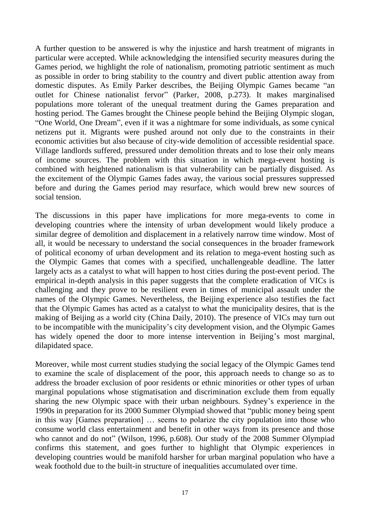A further question to be answered is why the injustice and harsh treatment of migrants in particular were accepted. While acknowledging the intensified security measures during the Games period, we highlight the role of nationalism, promoting patriotic sentiment as much as possible in order to bring stability to the country and divert public attention away from domestic disputes. As Emily Parker describes, the Beijing Olympic Games became "an outlet for Chinese nationalist fervor" (Parker, 2008, p.273). It makes marginalised populations more tolerant of the unequal treatment during the Games preparation and hosting period. The Games brought the Chinese people behind the Beijing Olympic slogan, "One World, One Dream", even if it was a nightmare for some individuals, as some cynical netizens put it. Migrants were pushed around not only due to the constraints in their economic activities but also because of city-wide demolition of accessible residential space. Village landlords suffered, pressured under demolition threats and to lose their only means of income sources. The problem with this situation in which mega-event hosting is combined with heightened nationalism is that vulnerability can be partially disguised. As the excitement of the Olympic Games fades away, the various social pressures suppressed before and during the Games period may resurface, which would brew new sources of social tension.

The discussions in this paper have implications for more mega-events to come in developing countries where the intensity of urban development would likely produce a similar degree of demolition and displacement in a relatively narrow time window. Most of all, it would be necessary to understand the social consequences in the broader framework of political economy of urban development and its relation to mega-event hosting such as the Olympic Games that comes with a specified, unchallengeable deadline. The latter largely acts as a catalyst to what will happen to host cities during the post-event period. The empirical in-depth analysis in this paper suggests that the complete eradication of VICs is challenging and they prove to be resilient even in times of municipal assault under the names of the Olympic Games. Nevertheless, the Beijing experience also testifies the fact that the Olympic Games has acted as a catalyst to what the municipality desires, that is the making of Beijing as a world city (China Daily, 2010). The presence of VICs may turn out to be incompatible with the municipality's city development vision, and the Olympic Games has widely opened the door to more intense intervention in Beijing's most marginal, dilapidated space.

Moreover, while most current studies studying the social legacy of the Olympic Games tend to examine the scale of displacement of the poor, this approach needs to change so as to address the broader exclusion of poor residents or ethnic minorities or other types of urban marginal populations whose stigmatisation and discrimination exclude them from equally sharing the new Olympic space with their urban neighbours. Sydney's experience in the 1990s in preparation for its 2000 Summer Olympiad showed that "public money being spent in this way [Games preparation] … seems to polarize the city population into those who consume world class entertainment and benefit in other ways from its presence and those who cannot and do not" (Wilson, 1996, p.608). Our study of the 2008 Summer Olympiad confirms this statement, and goes further to highlight that Olympic experiences in developing countries would be manifold harsher for urban marginal population who have a weak foothold due to the built-in structure of inequalities accumulated over time.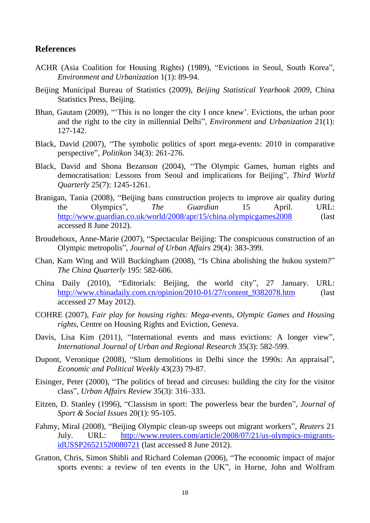#### <span id="page-20-0"></span>**References**

- ACHR (Asia Coalition for Housing Rights) (1989), "Evictions in Seoul, South Korea", *Environment and Urbanization* 1(1): 89-94.
- Beijing Municipal Bureau of Statistics (2009), *Beijing Statistical Yearbook 2009*, China Statistics Press, Beijing.
- Bhan, Gautam (2009), "'This is no longer the city I once knew'. Evictions, the urban poor and the right to the city in millennial Delhi", *Environment and Urbanization* 21(1): 127-142.
- Black, David (2007), "The symbolic politics of sport mega-events: 2010 in comparative perspective", *Politikon* 34(3): 261-276.
- Black, David and Shona Bezanson (2004), "The Olympic Games, human rights and democratisation: Lessons from Seoul and implications for Beijing", *Third World Quarterly* 25(7): 1245-1261.
- Branigan, Tania (2008), "Beijing bans construction projects to improve air quality during the Olympics", *The Guardian* 15 April. URL: <http://www.guardian.co.uk/world/2008/apr/15/china.olympicgames2008> (last accessed 8 June 2012).
- Broudehoux, Anne-Marie (2007), "Spectacular Beijing: The conspicuous construction of an Olympic metropolis", *Journal of Urban Affairs* 29(4): 383-399.
- Chan, Kam Wing and Will Buckingham (2008), "Is China abolishing the hukou system?" *The China Quarterly* 195: 582-606.
- China Daily (2010), "Editorials: Beijing, the world city", 27 January. URL: [http://www.chinadaily.com.cn/opinion/2010-01/27/content\\_9382078.htm](http://www.chinadaily.com.cn/opinion/2010-01/27/content_9382078.htm) (last accessed 27 May 2012).
- COHRE (2007), *Fair play for housing rights: Mega-events, Olympic Games and Housing rights*, Centre on Housing Rights and Eviction, Geneva.
- Davis, Lisa Kim (2011), "International events and mass evictions: A longer view", *International Journal of Urban and Regional Research* 35(3): 582-599.
- Dupont, Veronique (2008), "Slum demolitions in Delhi since the 1990s: An appraisal", *Economic and Political Weekly* 43(23) 79-87.
- Eisinger, Peter (2000), "The politics of bread and circuses: building the city for the visitor class", *Urban Affairs Review* 35(3): 316–333.
- Eitzen, D. Stanley (1996), "Classism in sport: The powerless bear the burden", *Journal of Sport & Social Issues* 20(1): 95-105.
- Fahmy, Miral (2008), "Beijing Olympic clean-up sweeps out migrant workers", *Reuters* 21 July. URL: [http://www.reuters.com/article/2008/07/21/us-olympics-migrants](http://www.reuters.com/article/2008/07/21/us-olympics-migrants-idUSSP26521520080721)[idUSSP26521520080721](http://www.reuters.com/article/2008/07/21/us-olympics-migrants-idUSSP26521520080721) (last accessed 8 June 2012).
- Gratton, Chris, Simon Shibli and Richard Coleman (2006), "The economic impact of major sports events: a review of ten events in the UK", in Horne, John and Wolfram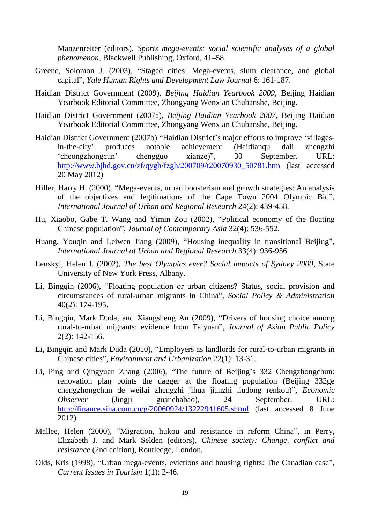Manzenreiter (editors), *Sports mega-events: social scientific analyses of a global phenomenon*, Blackwell Publishing, Oxford, 41–58.

- Greene, Solomon J. (2003), "Staged cities: Mega-events, slum clearance, and global capital", *Yale Human Rights and Development Law Journal* 6: 161-187.
- Haidian District Government (2009), *Beijing Haidian Yearbook 2009*, Beijing Haidian Yearbook Editorial Committee, Zhongyang Wenxian Chubanshe, Beijing.
- Haidian District Government (2007a), *Beijing Haidian Yearbook 2007*, Beijing Haidian Yearbook Editorial Committee, Zhongyang Wenxian Chubanshe, Beijing.
- Haidian District Government (2007b) "Haidian District's major efforts to improve 'villagesin-the-city' produces notable achievement (Haidianqu dali zhengzhi 'cheongzhongcun' chengguo xianze)", 30 September. URL: [http://www.bjhd.gov.cn/zf/qygh/fzgh/200709/t20070930\\_50781.htm](http://www.bjhd.gov.cn/zf/qygh/fzgh/200709/t20070930_50781.htm) (last accessed 20 May 2012)
- Hiller, Harry H. (2000), "Mega-events, urban boosterism and growth strategies: An analysis of the objectives and legitimations of the Cape Town 2004 Olympic Bid", *International Journal of Urban and Regional Research* 24(2): 439-458.
- Hu, Xiaobo, Gabe T. Wang and Yimin Zou (2002), "Political economy of the floating Chinese population", *Journal of Contemporary Asia* 32(4): 536-552.
- Huang, Youqin and Leiwen Jiang (2009), "Housing inequality in transitional Beijing", *International Journal of Urban and Regional Research* 33(4): 936-956.
- Lenskyj, Helen J. (2002), *The best Olympics ever? Social impacts of Sydney 2000*, State University of New York Press, Albany.
- Li, Bingqin (2006), "Floating population or urban citizens? Status, social provision and circumstances of rural-urban migrants in China", *Social Policy & Administration*  40(2): 174-195.
- Li, Bingqin, Mark Duda, and Xiangsheng An (2009), "Drivers of housing choice among rural-to-urban migrants: evidence from Taiyuan", *Journal of Asian Public Policy* 2(2): 142-156.
- Li, Bingqin and Mark Duda (2010), "Employers as landlords for rural-to-urban migrants in Chinese cities", *Environment and Urbanization* 22(1): 13-31.
- Li, Ping and Qingyuan Zhang (2006), "The future of Beijing's 332 Chengzhongchun: renovation plan points the dagger at the floating population (Beijing 332ge chengzhongchun de weilai zhengzhi jihua jianzhi liudong renkou)", *Economic Observer* (Jingji guanchabao), 24 September. URL: <http://finance.sina.com.cn/g/20060924/13222941605.shtml> (last accessed 8 June 2012)
- Mallee, Helen (2000), "Migration, hukou and resistance in reform China", in Perry, Elizabeth J. and Mark Selden (editors), *Chinese society: Change, conflict and resistance* (2nd edition), Routledge, London.
- Olds, Kris (1998), "Urban mega-events, evictions and housing rights: The Canadian case", *Current Issues in Tourism* 1(1): 2-46.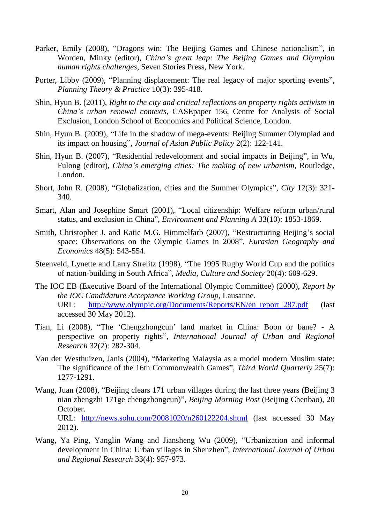- Parker, Emily (2008), "Dragons win: The Beijing Games and Chinese nationalism", in Worden, Minky (editor), *China's great leap: The Beijing Games and Olympian human rights challenges*, Seven Stories Press, New York.
- Porter, Libby (2009), "Planning displacement: The real legacy of major sporting events", *Planning Theory & Practice* 10(3): 395-418.
- Shin, Hyun B. (2011), *Right to the city and critical reflections on property rights activism in China's urban renewal contexts*, CASEpaper 156, Centre for Analysis of Social Exclusion, London School of Economics and Political Science, London.
- Shin, Hyun B. (2009), "Life in the shadow of mega-events: Beijing Summer Olympiad and its impact on housing", *Journal of Asian Public Policy* 2(2): 122-141.
- Shin, Hyun B. (2007), "Residential redevelopment and social impacts in Beijing", in Wu, Fulong (editor), *China's emerging cities: The making of new urbanism*, Routledge, London.
- Short, John R. (2008), "Globalization, cities and the Summer Olympics", *City* 12(3): 321- 340.
- Smart, Alan and Josephine Smart (2001), "Local citizenship: Welfare reform urban/rural status, and exclusion in China", *Environment and Planning A* 33(10): 1853-1869.
- Smith, Christopher J. and Katie M.G. Himmelfarb (2007), "Restructuring Beijing's social space: Observations on the Olympic Games in 2008", *Eurasian Geography and Economics* 48(5): 543-554.
- Steenveld, Lynette and Larry Strelitz (1998), "The 1995 Rugby World Cup and the politics of nation-building in South Africa", *Media, Culture and Society* 20(4): 609-629.
- The IOC EB (Executive Board of the International Olympic Committee) (2000), *Report by the IOC Candidature Acceptance Working Group*, Lausanne. URL: [http://www.olympic.org/Documents/Reports/EN/en\\_report\\_287.pdf](http://www.olympic.org/Documents/Reports/EN/en_report_287.pdf) (last accessed 30 May 2012).
- Tian, Li (2008), "The 'Chengzhongcun' land market in China: Boon or bane? A perspective on property rights", *International Journal of Urban and Regional Research* 32(2): 282-304.
- Van der Westhuizen, Janis (2004), "Marketing Malaysia as a model modern Muslim state: The significance of the 16th Commonwealth Games", *Third World Quarterly* 25(7): 1277-1291.
- Wang, Juan (2008), "Beijing clears 171 urban villages during the last three years (Beijing 3 nian zhengzhi 171ge chengzhongcun)", *Beijing Morning Post* (Beijing Chenbao), 20 October. URL: <http://news.sohu.com/20081020/n260122204.shtml> (last accessed 30 May 2012).
- Wang, Ya Ping, Yanglin Wang and Jiansheng Wu (2009), "Urbanization and informal development in China: Urban villages in Shenzhen", *International Journal of Urban and Regional Research* 33(4): 957-973.